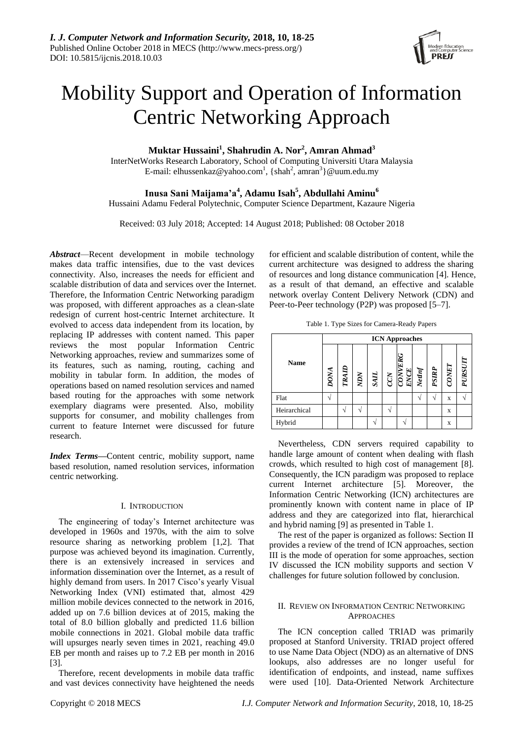

# Mobility Support and Operation of Information Centric Networking Approach

**Muktar Hussaini<sup>1</sup> , Shahrudin A. Nor<sup>2</sup> , Amran Ahmad<sup>3</sup>**

InterNetWorks Research Laboratory, School of Computing Universiti Utara Malaysia E-mail: elhussenkaz@yahoo.com<sup>1</sup>, {shah<sup>2</sup>, amran<sup>3</sup>}@uum.edu.my

**Inusa Sani Maijama'a<sup>4</sup> , Adamu Isah<sup>5</sup> , Abdullahi Aminu<sup>6</sup>**

Hussaini Adamu Federal Polytechnic, Computer Science Department, Kazaure Nigeria

Received: 03 July 2018; Accepted: 14 August 2018; Published: 08 October 2018

*Abstract*—Recent development in mobile technology makes data traffic intensifies, due to the vast devices connectivity. Also, increases the needs for efficient and scalable distribution of data and services over the Internet. Therefore, the Information Centric Networking paradigm was proposed, with different approaches as a clean-slate redesign of current host-centric Internet architecture. It evolved to access data independent from its location, by replacing IP addresses with content named. This paper reviews the most popular Information Centric Networking approaches, review and summarizes some of its features, such as naming, routing, caching and mobility in tabular form. In addition, the modes of operations based on named resolution services and named based routing for the approaches with some network exemplary diagrams were presented. Also, mobility supports for consumer, and mobility challenges from current to feature Internet were discussed for future research.

*Index Terms***—**Content centric, mobility support, name based resolution, named resolution services, information centric networking.

# I. INTRODUCTION

The engineering of today's Internet architecture was developed in 1960s and 1970s, with the aim to solve resource sharing as networking problem [1,2]. That purpose was achieved beyond its imagination. Currently, there is an extensively increased in services and information dissemination over the Internet, as a result of highly demand from users. In 2017 Cisco's yearly Visual Networking Index (VNI) estimated that, almost 429 million mobile devices connected to the network in 2016, added up on 7.6 billion devices at of 2015, making the total of 8.0 billion globally and predicted 11.6 billion mobile connections in 2021. Global mobile data traffic will upsurges nearly seven times in 2021, reaching 49.0 EB per month and raises up to 7.2 EB per month in 2016 [3].

Therefore, recent developments in mobile data traffic and vast devices connectivity have heightened the needs

for efficient and scalable distribution of content, while the current architecture was designed to address the sharing of resources and long distance communication [4]. Hence, as a result of that demand, an effective and scalable network overlay Content Delivery Network (CDN) and Peer-to-Peer technology (P2P) was proposed [5–7].

Table 1. Type Sizes for Camera-Ready Papers

| <b>Name</b>  | <b>ICN Approaches</b> |               |  |  |  |                                                                                                                                                                                                                                                                                                                  |  |       |       |         |  |
|--------------|-----------------------|---------------|--|--|--|------------------------------------------------------------------------------------------------------------------------------------------------------------------------------------------------------------------------------------------------------------------------------------------------------------------|--|-------|-------|---------|--|
|              | $\frac{DONA}{2}$      | $\frac{M}{M}$ |  |  |  | $\begin{tabular}{c} \multicolumn{1}{c}{\textbf{\textit{SAL}}} \\ \multicolumn{1}{c}{\textbf{\textit{CCN}}} \\ \multicolumn{1}{c}{\textbf{\textit{CCN}}} \\ \multicolumn{1}{c}{\textbf{\textit{ENCE}}} \\ \multicolumn{1}{c}{\textbf{\textit{NCU}}} \\ \multicolumn{1}{c}{\textbf{\textit{Nell}}}} \end{tabular}$ |  | PSIRP | CONET | PURSUIT |  |
| Flat         |                       |               |  |  |  |                                                                                                                                                                                                                                                                                                                  |  |       | X     |         |  |
| Heirarchical |                       |               |  |  |  |                                                                                                                                                                                                                                                                                                                  |  |       | X     |         |  |
| Hybrid       |                       |               |  |  |  |                                                                                                                                                                                                                                                                                                                  |  |       | X     |         |  |

Nevertheless, CDN servers required capability to handle large amount of content when dealing with flash crowds, which resulted to high cost of management [8]. Consequently, the ICN paradigm was proposed to replace current Internet architecture [5]. Moreover, the Information Centric Networking (ICN) architectures are prominently known with content name in place of IP address and they are categorized into flat, hierarchical and hybrid naming [9] as presented in Table 1.

The rest of the paper is organized as follows: Section II provides a review of the trend of ICN approaches, section III is the mode of operation for some approaches, section IV discussed the ICN mobility supports and section V challenges for future solution followed by conclusion.

# II. REVIEW ON INFORMATION CENTRIC NETWORKING APPROACHES

The ICN conception called TRIAD was primarily proposed at Stanford University. TRIAD project offered to use Name Data Object (NDO) as an alternative of DNS lookups, also addresses are no longer useful for identification of endpoints, and instead, name suffixes were used [10]. Data-Oriented Network Architecture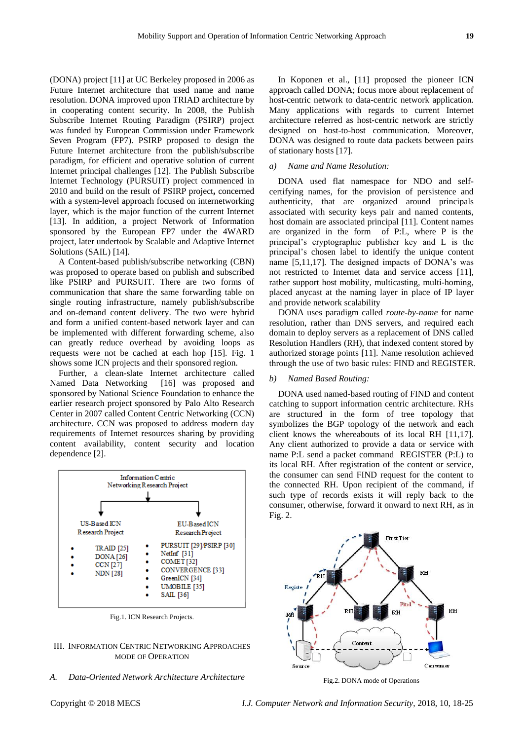(DONA) project [11] at UC Berkeley proposed in 2006 as Future Internet architecture that used name and name resolution. DONA improved upon TRIAD architecture by in cooperating content security. In 2008, the Publish Subscribe Internet Routing Paradigm (PSIRP) project was funded by European Commission under Framework Seven Program (FP7). PSIRP proposed to design the Future Internet architecture from the publish/subscribe paradigm, for efficient and operative solution of current Internet principal challenges [12]. The Publish Subscribe Internet Technology (PURSUIT) project commenced in 2010 and build on the result of PSIRP project**,** concerned with a system-level approach focused on internetworking layer, which is the major function of the current Internet [13]. In addition, a project Network of Information sponsored by the European FP7 under the 4WARD project, later undertook by Scalable and Adaptive Internet Solutions (SAIL) [14].

A Content-based publish/subscribe networking (CBN) was proposed to operate based on publish and subscribed like PSIRP and PURSUIT. There are two forms of communication that share the same forwarding table on single routing infrastructure, namely publish/subscribe and on-demand content delivery. The two were hybrid and form a unified content-based network layer and can be implemented with different forwarding scheme, also can greatly reduce overhead by avoiding loops as requests were not be cached at each hop [15]. Fig. 1 shows some ICN projects and their sponsored region.

Further, a clean-slate Internet architecture called Named Data Networking [16] was proposed and sponsored by National Science Foundation to enhance the earlier research project sponsored by Palo Alto Research Center in 2007 called Content Centric Networking (CCN) architecture. CCN was proposed to address modern day requirements of Internet resources sharing by providing content availability, content security and location dependence [2].



Fig.1. ICN Research Projects.

## III. INFORMATION CENTRIC NETWORKING APPROACHES MODE OF OPERATION

## *A. Data-Oriented Network Architecture Architecture*

In Koponen et al., [11] proposed the pioneer ICN approach called DONA; focus more about replacement of host-centric network to data-centric network application. Many applications with regards to current Internet architecture referred as host-centric network are strictly designed on host-to-host communication. Moreover, DONA was designed to route data packets between pairs of stationary hosts [17].

## *a) Name and Name Resolution:*

DONA used flat namespace for NDO and selfcertifying names, for the provision of persistence and authenticity, that are organized around principals associated with security keys pair and named contents, host domain are associated principal [11]. Content names are organized in the form of P:L, where P is the principal's cryptographic publisher key and L is the principal's chosen label to identify the unique content name [5,11,17]. The designed impacts of DONA's was not restricted to Internet data and service access [11], rather support host mobility, multicasting, multi-homing, placed anycast at the naming layer in place of IP layer and provide network scalability

DONA uses paradigm called *route-by-name* for name resolution, rather than DNS servers, and required each domain to deploy servers as a replacement of DNS called Resolution Handlers (RH), that indexed content stored by authorized storage points [11]. Name resolution achieved through the use of two basic rules: FIND and REGISTER.

#### *b) Named Based Routing:*

DONA used named-based routing of FIND and content catching to support information centric architecture. RHs are structured in the form of tree topology that symbolizes the BGP topology of the network and each client knows the whereabouts of its local RH [11,17]. Any client authorized to provide a data or service with name P:L send a packet command REGISTER (P:L) to its local RH. After registration of the content or service, the consumer can send FIND request for the content to the connected RH. Upon recipient of the command, if such type of records exists it will reply back to the consumer, otherwise, forward it onward to next RH, as in Fig. 2.



Fig.2. DONA mode of Operations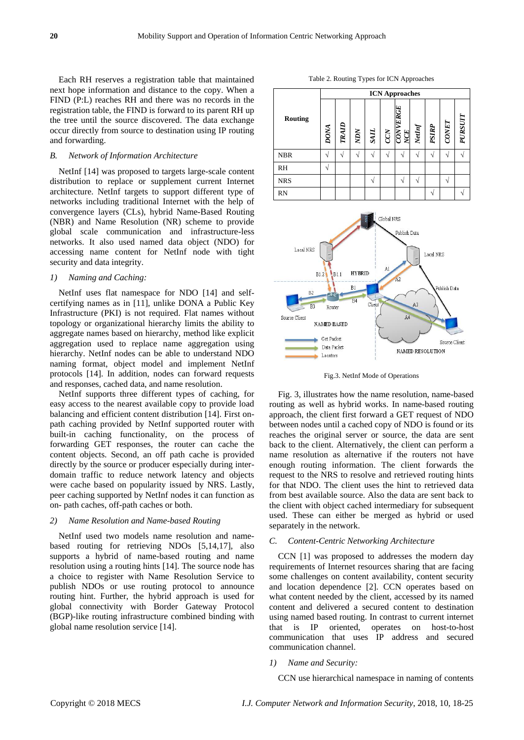Each RH reserves a registration table that maintained next hope information and distance to the copy. When a FIND (P:L) reaches RH and there was no records in the registration table, the FIND is forward to its parent RH up the tree until the source discovered. The data exchange occur directly from source to destination using IP routing and forwarding.

# *B. Network of Information Architecture*

NetInf [14] was proposed to targets large-scale content distribution to replace or supplement current Internet architecture. NetInf targets to support different type of networks including traditional Internet with the help of convergence layers (CLs), hybrid Name-Based Routing (NBR) and Name Resolution (NR) scheme to provide global scale communication and infrastructure-less networks. It also used named data object (NDO) for accessing name content for NetInf node with tight security and data integrity.

#### *1) Naming and Caching:*

NetInf uses flat namespace for NDO [14] and selfcertifying names as in [11], unlike DONA a Public Key Infrastructure (PKI) is not required. Flat names without topology or organizational hierarchy limits the ability to aggregate names based on hierarchy, method like explicit aggregation used to replace name aggregation using hierarchy. NetInf nodes can be able to understand NDO naming format, object model and implement NetInf protocols [14]. In addition, nodes can forward requests and responses, cached data, and name resolution.

NetInf supports three different types of caching, for easy access to the nearest available copy to provide load balancing and efficient content distribution [14]. First onpath caching provided by NetInf supported router with built-in caching functionality, on the process of forwarding GET responses, the router can cache the content objects. Second, an off path cache is provided directly by the source or producer especially during interdomain traffic to reduce network latency and objects were cache based on popularity issued by NRS. Lastly, peer caching supported by NetInf nodes it can function as on- path caches, off-path caches or both.

#### *2) Name Resolution and Name-based Routing*

NetInf used two models name resolution and namebased routing for retrieving NDOs [5,14,17], also supports a hybrid of name-based routing and name resolution using a routing hints [14]. The source node has a choice to register with Name Resolution Service to publish NDOs or use routing protocol to announce routing hint. Further, the hybrid approach is used for global connectivity with Border Gateway Protocol (BGP)-like routing infrastructure combined binding with global name resolution service [14].

|            | <b>ICN Approaches</b> |       |           |             |  |                                                                                 |        |       |      |         |  |
|------------|-----------------------|-------|-----------|-------------|--|---------------------------------------------------------------------------------|--------|-------|------|---------|--|
| Routing    | <b>DONA</b>           | TRAID | $\chi qN$ | $rac{N}{1}$ |  | $\begin{array}{ll} {\it CCN} \\ \hline {\it CONVERGE} \\ {\it NCE} \end{array}$ | NetInf | PSIRP | CONF | PURSUIT |  |
| <b>NBR</b> |                       |       |           |             |  |                                                                                 |        |       |      |         |  |
| <b>RH</b>  |                       |       |           |             |  |                                                                                 |        |       |      |         |  |
| <b>NRS</b> |                       |       |           |             |  |                                                                                 |        |       |      |         |  |
| RN         |                       |       |           |             |  |                                                                                 |        |       |      |         |  |

Table 2. Routing Types for ICN Approaches



Fig.3. NetInf Mode of Operations

Fig. 3, illustrates how the name resolution, name-based routing as well as hybrid works. In name-based routing approach, the client first forward a GET request of NDO between nodes until a cached copy of NDO is found or its reaches the original server or source, the data are sent back to the client. Alternatively, the client can perform a name resolution as alternative if the routers not have enough routing information. The client forwards the request to the NRS to resolve and retrieved routing hints for that NDO. The client uses the hint to retrieved data from best available source. Also the data are sent back to the client with object cached intermediary for subsequent used. These can either be merged as hybrid or used separately in the network.

## *C. Content-Centric Networking Architecture*

CCN [1] was proposed to addresses the modern day requirements of Internet resources sharing that are facing some challenges on content availability, content security and location dependence [2]. CCN operates based on what content needed by the client, accessed by its named content and delivered a secured content to destination using named based routing. In contrast to current internet that is IP oriented, operates on host-to-host communication that uses IP address and secured communication channel.

#### *1) Name and Security:*

CCN use hierarchical namespace in naming of contents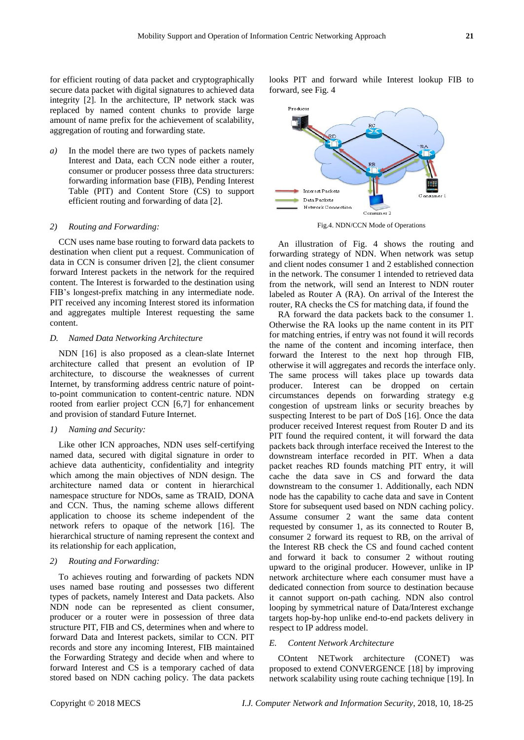for efficient routing of data packet and cryptographically secure data packet with digital signatures to achieved data integrity [2]. In the architecture, IP network stack was replaced by named content chunks to provide large amount of name prefix for the achievement of scalability, aggregation of routing and forwarding state.

*a)* In the model there are two types of packets namely Interest and Data, each CCN node either a router, consumer or producer possess three data structurers: forwarding information base (FIB), Pending Interest Table (PIT) and Content Store (CS) to support efficient routing and forwarding of data [2].

## *2) Routing and Forwarding:*

CCN uses name base routing to forward data packets to destination when client put a request. Communication of data in CCN is consumer driven [2], the client consumer forward Interest packets in the network for the required content. The Interest is forwarded to the destination using FIB's longest-prefix matching in any intermediate node. PIT received any incoming Interest stored its information and aggregates multiple Interest requesting the same content.

#### *D. Named Data Networking Architecture*

NDN [16] is also proposed as a clean-slate Internet architecture called that present an evolution of IP architecture, to discourse the weaknesses of current Internet, by transforming address centric nature of pointto-point communication to content-centric nature. NDN rooted from earlier project CCN [6,7] for enhancement and provision of standard Future Internet.

## *1) Naming and Security:*

Like other ICN approaches, NDN uses self-certifying named data, secured with digital signature in order to achieve data authenticity, confidentiality and integrity which among the main objectives of NDN design. The architecture named data or content in hierarchical namespace structure for NDOs, same as TRAID, DONA and CCN. Thus, the naming scheme allows different application to choose its scheme independent of the network refers to opaque of the network [16]. The hierarchical structure of naming represent the context and its relationship for each application,

#### *2) Routing and Forwarding:*

To achieves routing and forwarding of packets NDN uses named base routing and possesses two different types of packets, namely Interest and Data packets. Also NDN node can be represented as client consumer, producer or a router were in possession of three data structure PIT, FIB and CS, determines when and where to forward Data and Interest packets, similar to CCN. PIT records and store any incoming Interest, FIB maintained the Forwarding Strategy and decide when and where to forward Interest and CS is a temporary cached of data stored based on NDN caching policy. The data packets looks PIT and forward while Interest lookup FIB to forward, see Fig. 4



Fig.4. NDN/CCN Mode of Operations

An illustration of Fig. 4 shows the routing and forwarding strategy of NDN. When network was setup and client nodes consumer 1 and 2 established connection in the network. The consumer 1 intended to retrieved data from the network, will send an Interest to NDN router labeled as Router A (RA). On arrival of the Interest the router, RA checks the CS for matching data, if found the

RA forward the data packets back to the consumer 1. Otherwise the RA looks up the name content in its PIT for matching entries, if entry was not found it will records the name of the content and incoming interface, then forward the Interest to the next hop through FIB, otherwise it will aggregates and records the interface only. The same process will takes place up towards data producer. Interest can be dropped on certain circumstances depends on forwarding strategy e.g congestion of upstream links or security breaches by suspecting Interest to be part of DoS [16]. Once the data producer received Interest request from Router D and its PIT found the required content, it will forward the data packets back through interface received the Interest to the downstream interface recorded in PIT. When a data packet reaches RD founds matching PIT entry, it will cache the data save in CS and forward the data downstream to the consumer 1. Additionally, each NDN node has the capability to cache data and save in Content Store for subsequent used based on NDN caching policy. Assume consumer 2 want the same data content requested by consumer 1, as its connected to Router B, consumer 2 forward its request to RB, on the arrival of the Interest RB check the CS and found cached content and forward it back to consumer 2 without routing upward to the original producer. However, unlike in IP network architecture where each consumer must have a dedicated connection from source to destination because it cannot support on-path caching. NDN also control looping by symmetrical nature of Data/Interest exchange targets hop-by-hop unlike end-to-end packets delivery in respect to IP address model.

#### *E. Content Network Architecture*

COntent NETwork architecture (CONET) was proposed to extend CONVERGENCE [18] by improving network scalability using route caching technique [19]. In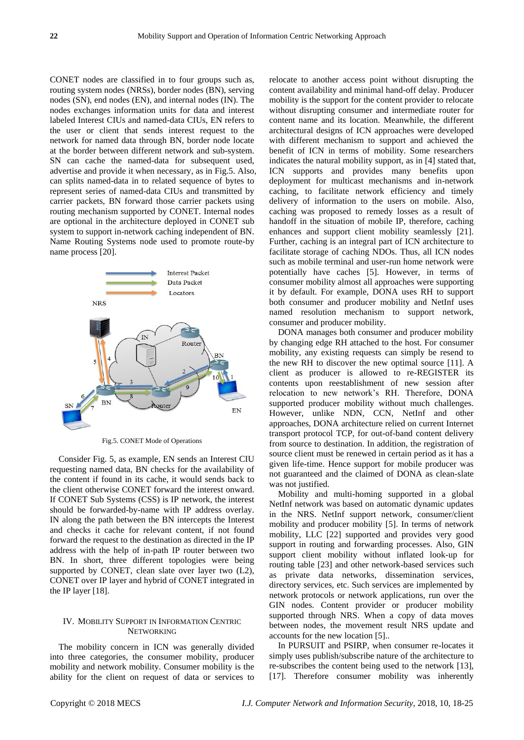CONET nodes are classified in to four groups such as, routing system nodes (NRSs), border nodes (BN), serving nodes (SN), end nodes (EN), and internal nodes (IN). The nodes exchanges information units for data and interest labeled Interest CIUs and named-data CIUs, EN refers to the user or client that sends interest request to the network for named data through BN, border node locate at the border between different network and sub-system. SN can cache the named-data for subsequent used, advertise and provide it when necessary, as in Fig.5. Also, can splits named-data in to related sequence of bytes to represent series of named-data CIUs and transmitted by carrier packets, BN forward those carrier packets using routing mechanism supported by CONET. Internal nodes are optional in the architecture deployed in CONET sub system to support in-network caching independent of BN. Name Routing Systems node used to promote route-by name process [20].



Fig.5. CONET Mode of Operations

Consider Fig. 5, as example, EN sends an Interest CIU requesting named data, BN checks for the availability of the content if found in its cache, it would sends back to the client otherwise CONET forward the interest onward. If CONET Sub Systems (CSS) is IP network, the interest should be forwarded-by-name with IP address overlay. IN along the path between the BN intercepts the Interest and checks it cache for relevant content, if not found forward the request to the destination as directed in the IP address with the help of in-path IP router between two BN. In short, three different topologies were being supported by CONET, clean slate over layer two (L2), CONET over IP layer and hybrid of CONET integrated in the IP layer [18].

# IV. MOBILITY SUPPORT IN INFORMATION CENTRIC **NETWORKING**

The mobility concern in ICN was generally divided into three categories, the consumer mobility, producer mobility and network mobility. Consumer mobility is the ability for the client on request of data or services to

relocate to another access point without disrupting the content availability and minimal hand-off delay. Producer mobility is the support for the content provider to relocate without disrupting consumer and intermediate router for content name and its location. Meanwhile, the different architectural designs of ICN approaches were developed with different mechanism to support and achieved the benefit of ICN in terms of mobility. Some researchers indicates the natural mobility support, as in [4] stated that, ICN supports and provides many benefits upon deployment for multicast mechanisms and in-network caching, to facilitate network efficiency and timely delivery of information to the users on mobile. Also, caching was proposed to remedy losses as a result of handoff in the situation of mobile IP, therefore, caching enhances and support client mobility seamlessly [21]. Further, caching is an integral part of ICN architecture to facilitate storage of caching NDOs. Thus, all ICN nodes such as mobile terminal and user-run home network were potentially have caches [5]. However, in terms of consumer mobility almost all approaches were supporting it by default. For example, DONA uses RH to support both consumer and producer mobility and NetInf uses named resolution mechanism to support network, consumer and producer mobility.

DONA manages both consumer and producer mobility by changing edge RH attached to the host. For consumer mobility, any existing requests can simply be resend to the new RH to discover the new optimal source [11]. A client as producer is allowed to re-REGISTER its contents upon reestablishment of new session after relocation to new network's RH. Therefore, DONA supported producer mobility without much challenges. However, unlike NDN, CCN, NetInf and other approaches, DONA architecture relied on current Internet transport protocol TCP, for out-of-band content delivery from source to destination. In addition, the registration of source client must be renewed in certain period as it has a given life-time. Hence support for mobile producer was not guaranteed and the claimed of DONA as clean-slate was not justified.

Mobility and multi-homing supported in a global NetInf network was based on automatic dynamic updates in the NRS. NetInf support network, consumer/client mobility and producer mobility [5]. In terms of network mobility, LLC [22] supported and provides very good support in routing and forwarding processes. Also, GIN support client mobility without inflated look-up for routing table [23] and other network-based services such as private data networks, dissemination services, directory services, etc. Such services are implemented by network protocols or network applications, run over the GIN nodes. Content provider or producer mobility supported through NRS. When a copy of data moves between nodes, the movement result NRS update and accounts for the new location [5]..

In PURSUIT and PSIRP, when consumer re-locates it simply uses publish/subscribe nature of the architecture to re-subscribes the content being used to the network [13], [17]. Therefore consumer mobility was inherently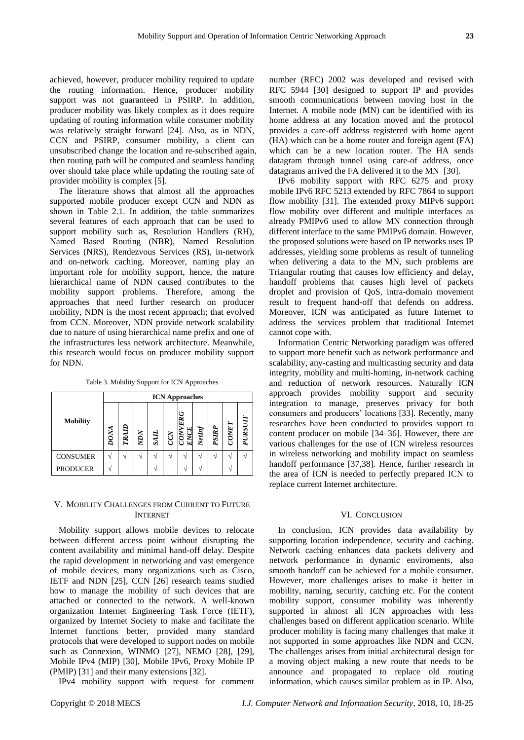achieved, however, producer mobility required to update the routing information. Hence, producer mobility support was not guaranteed in PSIRP. In addition, producer mobility was likely complex as it does require updating of routing information while consumer mobility was relatively straight forward [24]. Also, as in NDN, CCN and PSIRP, consumer mobility, a client can unsubscribed change the location and re-subscribed again, then routing path will be computed and seamless handing over should take place while updating the routing sate of provider mobility is complex [5].

The literature shows that almost all the approaches supported mobile producer except CCN and NDN as shown in Table 2.1. In addition, the table summarizes several features of each approach that can be used to support mobility such as, Resolution Handlers (RH), Named Based Routing (NBR), Named Resolution Services (NRS), Rendezvous Services (RS), in-network and on-network caching. Moreover, naming play an important role for mobility support, hence, the nature hierarchical name of NDN caused contributes to the mobility support problems. Therefore, among the approaches that need further research on producer mobility, NDN is the most recent approach; that evolved from CCN. Moreover, NDN provide network scalability due to nature of using hierarchical name prefix and one of the infrastructures less network architecture. Meanwhile, this research would focus on producer mobility support for NDN.

Table 3. Mobility Support for ICN Approaches

| <b>Mobility</b> | <b>ICN</b> Approaches |       |     |             |   |   |        |       |              |         |
|-----------------|-----------------------|-------|-----|-------------|---|---|--------|-------|--------------|---------|
|                 | DONA                  | TRAID | NON | <b>TIFS</b> | Ķ | న | NetInf | PSIRP | <b>CONET</b> | PURSUIT |
| <b>CONSUMER</b> |                       |       |     |             |   |   |        |       |              |         |
| <b>PRODUCER</b> |                       |       |     |             |   |   |        |       |              |         |

# V. MOBILITY CHALLENGES FROM CURRENT TO FUTURE INTERNET

Mobility support allows mobile devices to relocate between different access point without disrupting the content availability and minimal hand-off delay. Despite the rapid development in networking and vast emergence of mobile devices, many organizations such as Cisco, IETF and NDN [25], CCN [26] research teams studied how to manage the mobility of such devices that are attached or connected to the network. A well-known organization Internet Engineering Task Force (IETF), organized by Internet Society to make and facilitate the Internet functions better, provided many standard protocols that were developed to support nodes on mobile such as Connexion, WINMO [27], NEMO [28], [29], Mobile IPv4 (MIP) [30], Mobile IPv6, Proxy Mobile IP (PMIP) [31] and their many extensions [32].

IPv4 mobility support with request for comment

number (RFC) 2002 was developed and revised with RFC 5944 [30] designed to support IP and provides smooth communications between moving host in the Internet. A mobile node (MN) can be identified with its home address at any location moved and the protocol provides a care-off address registered with home agent (HA) which can be a home router and foreign agent (FA) which can be a new location router. The HA sends datagram through tunnel using care-of address, once datagrams arrived the FA delivered it to the MN [30].

IPv6 mobility support with RFC 6275 and proxy mobile IPv6 RFC 5213 extended by RFC 7864 to support flow mobility [31]. The extended proxy MIPv6 support flow mobility over different and multiple interfaces as already PMIPv6 used to allow MN connection through different interface to the same PMIPv6 domain. However, the proposed solutions were based on IP networks uses IP addresses, yielding some problems as result of tunneling when delivering a data to the MN, such problems are Triangular routing that causes low efficiency and delay, handoff problems that causes high level of packets droplet and provision of QoS, intra-domain movement result to frequent hand-off that defends on address. Moreover, ICN was anticipated as future Internet to address the services problem that traditional Internet cannot cope with.

Information Centric Networking paradigm was offered to support more benefit such as network performance and scalability, any-casting and multicasting security and data integrity, mobility and multi-homing, in-network caching and reduction of network resources. Naturally ICN approach provides mobility support and security integration to manage, preserves privacy for both consumers and producers' locations [33]. Recently, many researches have been conducted to provides support to content producer on mobile [34–36]. However, there are various challenges for the use of ICN wireless resources in wireless networking and mobility impact on seamless handoff performance [37,38]. Hence, further research in the area of ICN is needed to perfectly prepared ICN to replace current Internet architecture.

#### VI. CONCLUSION

In conclusion, ICN provides data availability by supporting location independence, security and caching. Network caching enhances data packets delivery and network performance in dynamic enviroments, also smooth handoff can be achieved for a mobile consumer. However, more challenges arises to make it better in mobility, naming, security, catching etc. For the content mobility support, consumer mobility was inherently supported in almost all ICN approaches with less challenges based on different application scenario. While producer mobility is facing many challenges that make it not supported in some approaches like NDN and CCN. The challenges arises from initial architectural design for a moving object making a new route that needs to be announce and propagated to replace old routing information, which causes similar problem as in IP. Also,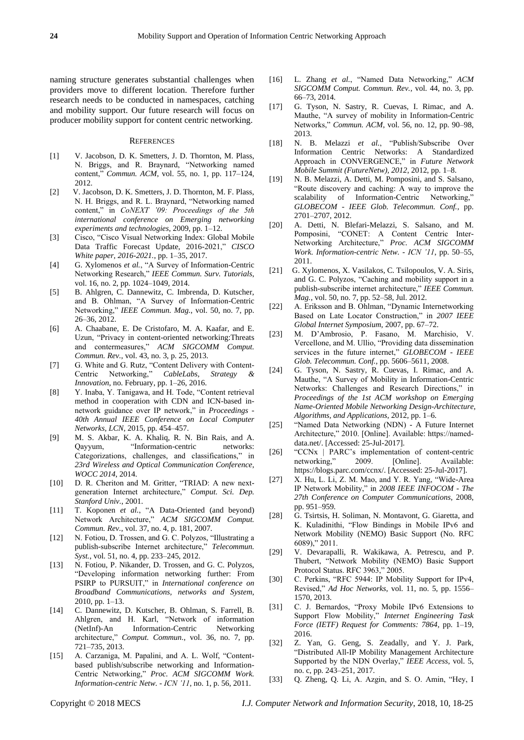naming structure generates substantial challenges when providers move to different location. Therefore further research needs to be conducted in namespaces, catching and mobility support. Our future research will focus on producer mobility support for content centric networking.

#### **REFERENCES**

- [1] V. Jacobson, D. K. Smetters, J. D. Thornton, M. Plass, N. Briggs, and R. Braynard, "Networking named content," *Commun. ACM*, vol. 55, no. 1, pp. 117–124, 2012.
- [2] V. Jacobson, D. K. Smetters, J. D. Thornton, M. F. Plass, N. H. Briggs, and R. L. Braynard, "Networking named content," in *CoNEXT '09: Proceedings of the 5th international conference on Emerging networking experiments and technologies*, 2009, pp. 1–12.
- [3] Cisco, "Cisco Visual Networking Index: Global Mobile Data Traffic Forecast Update, 2016-2021," *CISCO White paper, 2016-2021.*, pp. 1–35, 2017.
- [4] G. Xylomenos *et al.*, "A Survey of Information-Centric Networking Research," *IEEE Commun. Surv. Tutorials*, vol. 16, no. 2, pp. 1024–1049, 2014.
- [5] B. Ahlgren, C. Dannewitz, C. Imbrenda, D. Kutscher, and B. Ohlman, "A Survey of Information-Centric Networking," *IEEE Commun. Mag.*, vol. 50, no. 7, pp. 26–36, 2012.
- [6] A. Chaabane, E. De Cristofaro, M. A. Kaafar, and E. Uzun, "Privacy in content-oriented networking:Threats and contermeasures," *ACM SIGCOMM Comput. Commun. Rev.*, vol. 43, no. 3, p. 25, 2013.
- [7] G. White and G. Rutz, "Content Delivery with Content-Centric Networking," *CableLabs, Strategy & Innovation*, no. February, pp. 1–26, 2016.
- [8] Y. Inaba, Y. Tanigawa, and H. Tode, "Content retrieval method in cooperation with CDN and ICN-based innetwork guidance over IP network," in *Proceedings - 40th Annual IEEE Conference on Local Computer Networks, LCN*, 2015, pp. 454–457.
- [9] M. S. Akbar, K. A. Khaliq, R. N. Bin Rais, and A. Qayyum, "Information-centric networks: Categorizations, challenges, and classifications," in *23rd Wireless and Optical Communication Conference, WOCC 2014*, 2014.
- [10] D. R. Cheriton and M. Gritter, "TRIAD: A new nextgeneration Internet architecture," *Comput. Sci. Dep. Stanford Univ.*, 2001.
- [11] T. Koponen *et al.*, "A Data-Oriented (and beyond) Network Architecture," *ACM SIGCOMM Comput. Commun. Rev.*, vol. 37, no. 4, p. 181, 2007.
- [12] N. Fotiou, D. Trossen, and G. C. Polyzos, "Illustrating a publish-subscribe Internet architecture," *Telecommun. Syst.*, vol. 51, no. 4, pp. 233–245, 2012.
- [13] N. Fotiou, P. Nikander, D. Trossen, and G. C. Polyzos, "Developing information networking further: From PSIRP to PURSUIT," in *International conference on Broadband Communications, networks and System*, 2010, pp. 1–13.
- [14] C. Dannewitz, D. Kutscher, B. Ohlman, S. Farrell, B. Ahlgren, and H. Karl, "Network of information (NetInf)-An Information-Centric Networking architecture," *Comput. Commun.*, vol. 36, no. 7, pp. 721–735, 2013.
- [15] A. Carzaniga, M. Papalini, and A. L. Wolf, "Contentbased publish/subscribe networking and Information-Centric Networking," *Proc. ACM SIGCOMM Work. Information-centric Netw. - ICN '11*, no. 1, p. 56, 2011.
- [16] L. Zhang *et al.*, "Named Data Networking," *ACM SIGCOMM Comput. Commun. Rev.*, vol. 44, no. 3, pp. 66–73, 2014.
- [17] G. Tyson, N. Sastry, R. Cuevas, I. Rimac, and A. Mauthe, "A survey of mobility in Information-Centric Networks," *Commun. ACM*, vol. 56, no. 12, pp. 90–98, 2013.
- [18] N. B. Melazzi *et al.*, "Publish/Subscribe Over Information Centric Networks: A Standardized Approach in CONVERGENCE," in *Future Network Mobile Summit (FutureNetw), 2012*, 2012, pp. 1–8.
- [19] N. B. Melazzi, A. Detti, M. Pomposini, and S. Salsano, "Route discovery and caching: A way to improve the scalability of Information-Centric Networking," *GLOBECOM - IEEE Glob. Telecommun. Conf.*, pp. 2701–2707, 2012.
- [20] A. Detti, N. Blefari-Melazzi, S. Salsano, and M. Pomposini, "CONET: A Content Centric Inter-Networking Architecture," *Proc. ACM SIGCOMM Work. Information-centric Netw. - ICN '11*, pp. 50–55, 2011.
- [21] G. Xylomenos, X. Vasilakos, C. Tsilopoulos, V. A. Siris, and G. C. Polyzos, "Caching and mobility support in a publish-subscribe internet architecture," *IEEE Commun. Mag.*, vol. 50, no. 7, pp. 52–58, Jul. 2012.
- [22] A. Eriksson and B. Ohlman, "Dynamic Internetworking Based on Late Locator Construction," in *2007 IEEE Global Internet Symposium*, 2007, pp. 67–72.
- [23] M. D'Ambrosio, P. Fasano, M. Marchisio, V. Vercellone, and M. Ullio, "Providing data dissemination services in the future internet," *GLOBECOM - IEEE Glob. Telecommun. Conf.*, pp. 5606–5611, 2008.
- [24] G. Tyson, N. Sastry, R. Cuevas, I. Rimac, and A. Mauthe, "A Survey of Mobility in Information-Centric Networks: Challenges and Research Directions," in *Proceedings of the 1st ACM workshop on Emerging Name-Oriented Mobile Networking Design-Architecture, Algorithms, and Applications*, 2012, pp. 1–6.
- [25] "Named Data Networking (NDN) A Future Internet Architecture," 2010. [Online]. Available: https://nameddata.net/. [Accessed: 25-Jul-2017].
- [26] "CCNx | PARC's implementation of content-centric networking," 2009. [Online]. Available: https://blogs.parc.com/ccnx/. [Accessed: 25-Jul-2017].
- [27] X. Hu, L. Li, Z. M. Mao, and Y. R. Yang, "Wide-Area IP Network Mobility," in *2008 IEEE INFOCOM - The 27th Conference on Computer Communications*, 2008, pp. 951–959.
- [28] G. Tsirtsis, H. Soliman, N. Montavont, G. Giaretta, and K. Kuladinithi, "Flow Bindings in Mobile IPv6 and Network Mobility (NEMO) Basic Support (No. RFC 6089)," 2011.
- [29] V. Devarapalli, R. Wakikawa, A. Petrescu, and P. Thubert, "Network Mobility (NEMO) Basic Support Protocol Status. RFC 3963," 2005.
- [30] C. Perkins, "RFC 5944: IP Mobility Support for IPv4, Revised," *Ad Hoc Networks*, vol. 11, no. 5, pp. 1556– 1570, 2013.
- [31] C. J. Bernardos, "Proxy Mobile IPv6 Extensions to Support Flow Mobility," *Internet Engineering Task Force (IETF) Request for Comments: 7864*, pp. 1–19, 2016.
- [32] Z. Yan, G. Geng, S. Zeadally, and Y. J. Park, "Distributed All-IP Mobility Management Architecture Supported by the NDN Overlay," *IEEE Access*, vol. 5, no. c, pp. 243–251, 2017.
- [33] Q. Zheng, Q. Li, A. Azgin, and S. O. Amin, "Hey, I